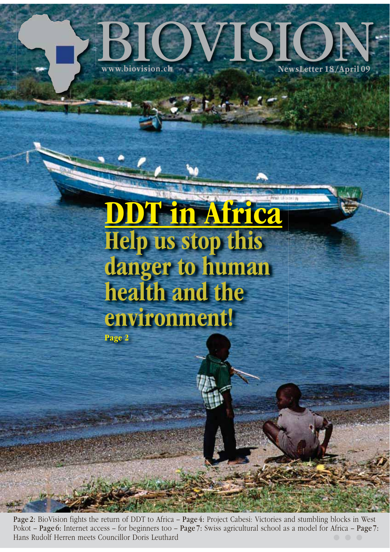

# DDT in Africa Help us stop this danger to human health and the environment! Page 2

Page 2: BioVision fights the return of DDT to Africa – Page 4: Project Cabesi: Victories and stumbling blocks in West Pokot – Page 6: Internet access – for beginners too – Page 7: Swiss agricultural school as a model for Africa – Page 7: Hans Rudolf Herren meets Councillor Doris Leuthard the Council of the Council of the Council of the Council of the Council of the Council of the Council of the Council of the Council of the Council of the Council of the Co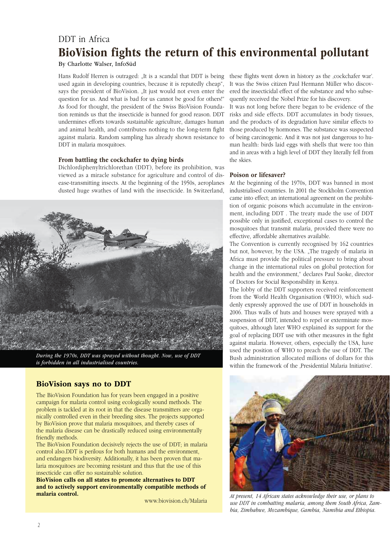### DDT in Africa BioVision fights the return of this environmental pollutant

By Charlotte Walser, InfoSüd

Hans Rudolf Herren is outraged: "It is a scandal that DDT is being used again in developing countries, because it is reputedly cheap", says the president of BioVision. "It just would not even enter the question for us. And what is bad for us cannot be good for others!" As food for thought, the president of the Swiss BioVision Foundation reminds us that the insecticide is banned for good reason. DDT undermines efforts towards sustainable agriculture, damages human and animal health, and contributes nothing to the long-term fight against malaria. Random sampling has already shown resistance to DDT in malaria mosquitoes.

#### From battling the cockchafer to dying birds

Dichlordiphenyltrichlorethan (DDT), before its prohibition, was viewed as a miracle substance for agriculture and control of disease-transmitting insects. At the beginning of the 1950s, aeroplanes dusted huge swathes of land with the insecticide. In Switzerland,



*During the 1970s, DDT was sprayed without thought. Now, use of DDT is forbidden in all industrialised countries.*

#### BioVision says no to DDT

The BioVision Foundation has for years been engaged in a positive campaign for malaria control using ecologically sound methods. The problem is tackled at its root in that the disease transmitters are organically controlled even in their breeding sites. The projects supported by BioVision prove that malaria mosquitoes, and thereby cases of the malaria disease can be drastically reduced using environmentally friendly methods.

The BioVision Foundation decisively rejects the use of DDT; in malaria control also.DDT is perilous for both humans and the environment, and endangers biodiversity. Additionally, it has been proven that malaria mosquitoes are becoming resistant and thus that the use of this insecticide can offer no sustainable solution.

BioVision calls on all states to promote alternatives to DDT and to actively support environmentally compatible methods of malaria control.

www.biovision.ch/Malaria

these flights went down in history as the ,cockchafer war'. It was the Swiss citizen Paul Hermann Müller who discovered the insecticidal effect of the substance and who subsequently received the Nobel Prize for his discovery.

It was not long before there began to be evidence of the risks and side effects. DDT accumulates in body tissues, and the products of its degradation have similar effects to those produced by hormones. The substance was suspected of being carcinogenic. And it was not just dangerous to human health: birds laid eggs with shells that were too thin and in areas with a high level of DDT they literally fell from the skies.

#### Poison or lifesaver?

At the beginning of the 1970s, DDT was banned in most industrialised countries. In 2001 the Stockholm Convention came into effect; an international agreement on the prohibition of organic poisons which accumulate in the environment, including DDT . The treaty made the use of DDT possible only in justified, exceptional cases to control the mosquitoes that transmit malaria, provided there were no effective, affordable alternatives available.

The Convention is currently recognised by 162 countries but not, however, by the USA. "The tragedy of malaria in Africa must provide the political pressure to bring about change in the international rules on global protection for health and the environment," declares Paul Saoke, director of Doctors for Social Responsibility in Kenya.

The lobby of the DDT supporters received reinforcement from the World Health Organisation (WHO), which suddenly expressly approved the use of DDT in households in 2006. Thus walls of huts and houses were sprayed with a suspension of DDT, intended to repel or exterminate mosquitoes, although later WHO explained its support for the goal of replacing DDT use with other measures in the fight against malaria. However, others, especially the USA, have used the position of WHO to preach the use of DDT. The Bush administration allocated millions of dollars for this within the framework of the Presidential Malaria Initiative'.



At present, 14 African states acknowledge their use, or plans to use DDT in combatting malaria, among them South Africa, Zambia, Zimbabwe, Mozambique, Gambia, Namibia and Ethiopia.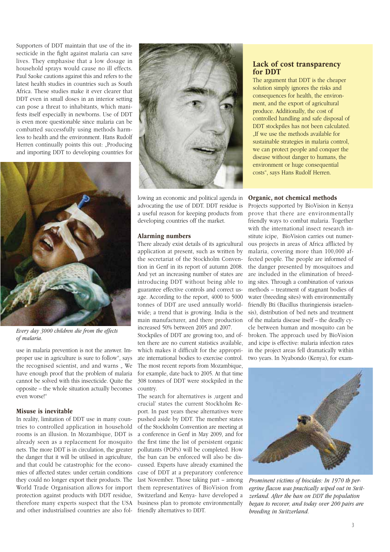Supporters of DDT maintain that use of the insecticide in the fight against malaria can save lives. They emphasise that a low dosage in household sprays would cause no ill effects. Paul Saoke cautions against this and refers to the latest health studies in countries such as South Africa. These studies make it ever clearer that DDT even in small doses in an interior setting can pose a threat to inhabitants, which manifests itself especially in newborns. Use of DDT is even more questionable since malaria can be combatted successfully using methods harmless to health and the environment. Hans Rudolf Herren continually points this out: "Producing and importing DDT to developing countries for



Every day 3000 children die from the effects of malaria.

use in malaria prevention is not the answer. Improper use in agriculture is sure to follow", says the recognised scientist, and and warns " We have enough proof that the problem of malaria cannot be solved with this insecticide. Quite the opposite – the whole situation actually becomes even worse!"

#### Misuse is inevitable

In reality, limitation of DDT use in many countries to controlled application in household rooms is an illusion. In Mozambique, DDT is already seen as a replacement for mosquito nets. The more DDT is in circulation, the greater the danger that it will be utilised in agriculture, and that could be catastrophic for the economies of affected states: under certain conditions they could no longer export their products. The World Trade Organisation allows for import protection against products with DDT residue, therefore many experts suspect that the USA and other industrialised countries are also fol-



lowing an economic and political agenda in advocating the use of DDT. DDT residue is a useful reason for keeping products from developing countries off the market.

#### Alarming numbers

There already exist details of its agricultural application at present, such as written by the secretariat of the Stockholm Convention in Genf in its report of autumn 2008. And yet an increasing number of states are introducing DDT without being able to guarantee effective controls and correct usage. According to the report, 4000 to 5000 tonnes of DDT are used annually worldwide; a trend that is growing. India is the main manufacturer, and there production increased 50% between 2005 and 2007.

Stockpiles of DDT are growing too, and often there are no current statistics available, which makes it difficult for the appropriate international bodies to exercise control. The most recent reports from Mozambique, for example, date back to 2005. At that time 308 tonnes of DDT were stockpiled in the country.

The search for alternatives is ,urgent and crucial' states the current Stockholm Report. In past years these alternatives were pushed aside by DDT. The member states of the Stockholm Convention are meeting at a conference in Genf in May 2009, and for the first time the list of persistent organic pollutants (POPs) will be completed. How the ban can be enforced will also be discussed. Experts have already examined the case of DDT at a preparatory conference last November. Those taking part – among them representatives of BioVision from Switzerland and Kenya- have developed a business plan to promote environmentally friendly alternatives to DDT.

#### Lack of cost transparency for DDT

The argument that DDT is the cheaper solution simply ignores the risks and consequences for health, the environment, and the export of agricultural produce. Additionally, the cost of controlled handling and safe disposal of DDT stockpiles has not been calculated. . If we use the methods available for sustainable strategies in malaria control, we can protect people and conquer the disease without danger to humans, the environment or huge consequential costs", says Hans Rudolf Herren.

#### Organic, not chemical methods

Projects supported by BioVision in Kenya prove that there are environmentally friendly ways to combat malaria. Together with the international insect research institute icipe, BioVision carries out numerous projects in areas of Africa afflicted by malaria, covering more than 100,000 affected people. The people are informed of the danger presented by mosquitoes and are included in the elimination of breeding sites. Through a combination of various methods – treatment of stagnant bodies of water (breeding sites) with environmentally friendly Bti (Bacillus thuringiensis israelensis), distribution of bed nets and treatment of the malaria disease itself – the deadly cycle between human and mosquito can be broken. The approach used by BioVision and icipe is effective: malaria infection rates in the project areas fell dramatically within two years. In Nyabondo (Kenya), for exam-



Prominent victims of biocides: In 1970 th peregrine flacon was practically wiped out in Switzerland. After the ban on DDT the population began to recover, and today over 200 pairs are breeding in Switzerland.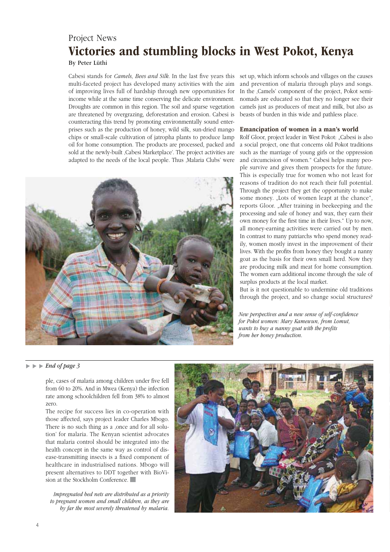### Project News Victories and stumbling blocks in West Pokot, Kenya

By Peter Lüthi

Cabesi stands for Camels, Bees and Silk. In the last five years this multi-faceted project has developed many activities with the aim of improving lives full of hardship through new opportunities for income while at the same time conserving the delicate environment. Droughts are common in this region. The soil and sparse vegetation are threatened by overgrazing, deforestation and erosion. Cabesi is counteracting this trend by promoting environmentally sound enterprises such as the production of honey, wild silk, sun-dried mango chips or small-scale cultivation of jatropha plants to produce lamp oil for home consumption. The products are processed, packed and sold at the newly-built , Cabesi Marketplace'. The project activities are adapted to the needs of the local people. Thus , Malaria Clubs' were



set up, which inform schools and villages on the causes and prevention of malaria through plays and songs. In the ,Camels' component of the project, Pokot seminomads are educated so that they no longer see their camels just as producers of meat and milk, but also as beasts of burden in this wide and pathless place.

#### Emancipation of women in a man's world

Rolf Gloor, project leader in West Pokot: "Cabesi is also a social project, one that concerns old Pokot traditions such as the marriage of young girls or the oppression and circumcision of women." Cabesi helps many people survive and gives them prospects for the future. This is especially true for women who not least for reasons of tradition do not reach their full potential. Through the project they get the opportunity to make some money. "Lots of women leapt at the chance", reports Gloor. "After training in beekeeping and the processing and sale of honey and wax, they earn their own money for the first time in their lives." Up to now, all money-earning activities were carried out by men. In contrast to many patriarchs who spend money readily, women mostly invest in the improvement of their lives. With the profits from honey they bought a nanny goat as the basis for their own small herd. Now they are producing milk and meat for home consumption. The women earn additional income through the sale of surplus products at the local market.

But is it not questionable to undermine old traditions through the project, and so change social structures?

New perspectives and a new sense of self-confidence for Pokot women: Mary Kamewun, from Lomut, wants to buy a nanny goat with the profits from her honey production.

#### ► End of page 3

ple, cases of malaria among children under five fell from 60 to 20%. And in Mwea (Kenya) the infection rate among schoolchildren fell from 38% to almost zero.

The recipe for success lies in co-operation with those affected, says project leader Charles Mbogo. There is no such thing as a ,once and for all solution' for malaria. The Kenyan scientist advocates that malaria control should be integrated into the health concept in the same way as control of disease-transmitting insects is a fixed component of healthcare in industrialised nations. Mbogo will present alternatives to DDT together with BioVision at the Stockholm Conference.

Impregnated bed nets are distributed as a priority to pregnant women and small children, as they are by far the most severely threatened by malaria.

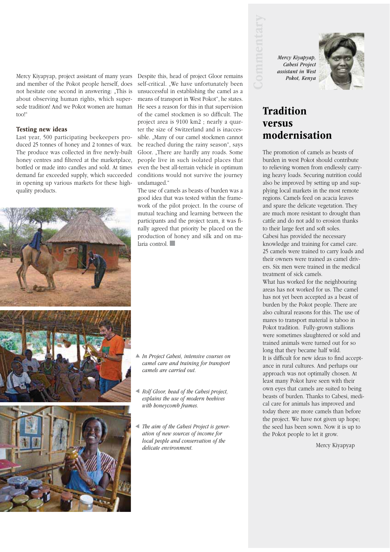Mercy Kiyapyap, project assistant of many years Despite this, head of project Gloor remains and member of the Pokot people herself, does not hesitate one second in answering: "This is about observing human rights, which supersede tradition! And we Pokot women are human too!"

#### Testing new ideas

Last year, 500 participating beekeepers produced 25 tonnes of honey and 2 tonnes of wax. The produce was collected in five newly-built honey centres and filtered at the marketplace, bottled or made into candles and sold. At times demand far exceeded supply, which succeeded in opening up various markets for these highquality products.



self-critical. "We have unfortunately been unsuccessful in establishing the camel as a means of transport in West Pokot", he states. He sees a reason for this in that supervision of the camel stockmen is so difficult. The project area is 9100 km2 ; nearly a quarter the size of Switzerland and is inaccessible. "Many of our camel stockmen cannot be reached during the rainy season", says Gloor. "There are hardly any roads. Some people live in such isolated places that even the best all-terrain vehicle in optimum conditions would not survive the journey undamaged."

The use of camels as beasts of burden was a good idea that was tested within the framework of the pilot project. In the course of mutual teaching and learning between the participants and the project team, it was finally agreed that priority be placed on the production of honey and silk and on malaria control.

In Project Cabesi, intensive courses on camel care and training for transport camels are carried out.

Rolf Gloor, head of the Cabesi project, explains the use of modern beehives with honeycomb frames.

4 The aim of the Cabesi Project is generation of new sources of income for local people and conservation of the delicate environment.

*Mercy Kiyapyap, Cabesi Project assistant in West Pokot, Kenya* 



### Tradition versus modernisation

The promotion of camels as beasts of burden in west Pokot should contribute to relieving women from endlessly carrying heavy loads. Securing nutrition could also be improved by setting up and supplying local markets in the most remote regions. Camels feed on acacia leaves and spare the delicate vegetation. They are much more resistant to drought than cattle and do not add to erosion thanks to their large feet and soft soles. Cabesi has provided the necessary knowledge and training for camel care. 25 camels were trained to carry loads and their owners were trained as camel drivers. Six men were trained in the medical treatment of sick camels.

What has worked for the neighbouring areas has not worked for us. The camel has not yet been accepted as a beast of burden by the Pokot people. There are also cultural reasons for this. The use of mares to transport material is taboo in Pokot tradition. Fully-grown stallions were sometimes slaughtered or sold and trained animals were turned out for so long that they became half wild. It is difficult for new ideas to find acceptance in rural cultures. And perhaps our approach was not optimally chosen. At least many Pokot have seen with their own eyes that camels are suited to being beasts of burden. Thanks to Cabesi, medical care for animals has improved and today there are more camels than before the project. We have not given up hope; the seed has been sown. Now it is up to the Pokot people to let it grow.

Mercy Kiyapyap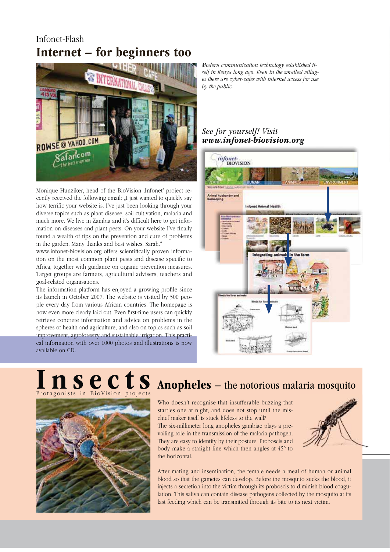### Infonet-Flash Internet – for beginners too



Monique Hunziker, head of the BioVision ,Infonet' project recently received the following email: "I just wanted to quickly say how terrific your website is. I've just been looking through your diverse topics such as plant disease, soil cultivation, malaria and much more. We live in Zambia and it's difficult here to get information on diseases and plant pests. On your website I've finally found a wealth of tips on the prevention and cure of problems in the garden. Many thanks and best wishes. Sarah."

www.infonet-biovision.org offers scientifically proven information on the most common plant pests and disease specific to Africa, together with guidance on organic prevention measures. Target groups are farmers, agricultural advisers, teachers and goal-related organisations.

The information platform has enjoyed a growing profile since its launch in October 2007. The website is visited by 500 people every day from various African countries. The homepage is now even more clearly laid out. Even first-time users can quickly retrieve concrete information and advice on problems in the spheres of health and agriculture, and also on topics such as soil improvement, agroforestry and sustainable irrigation. This practical information with over 1000 photos and illustrations is now available on CD.

Modern communication technology established itself in Kenya long ago. Even in the smallest villages there are cyber-cafes with internet access for use by the public.

### See for yourself! Visit www.infonet-biological.com



### Protagonists in BioVision projects Insects



## Anopheles – the notorious malaria mosquito

Who doesn't recognise that insufferable buzzing that startles one at night, and does not stop until the mischief maker itself is stuck lifeless to the wall? The six-millimeter long anopheles gambiae plays a pre-

vailing role in the transmission of the malaria pathogen. They are easy to identify by their posture: Proboscis and body make a straight line which then angles at 45° to the horizontal.



After mating and insemination, the female needs a meal of human or animal blood so that the gametes can develop. Before the mosquito sucks the blood, it injects a secretion into the victim through its proboscis to diminish blood coagulation. This saliva can contain disease pathogens collected by the mosquito at its last feeding which can be transmitted through its bite to its next victim.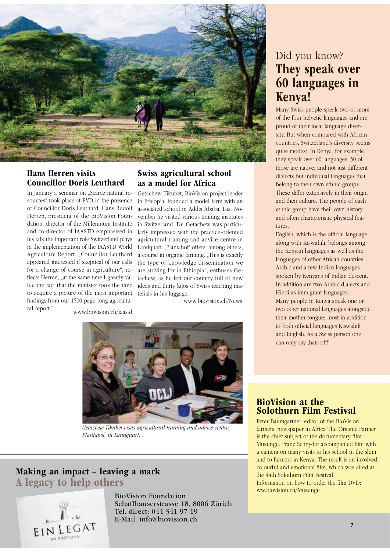

### Hans Herren visits Councillor Doris Leuthard

In January a seminar on "Scarce natural resources" took place at EVD in the presence of Councillor Doris Leuthard. Hans Rudolf Herren, president of the BioVision Foundation, director of the Millennium Institute and co-director of IAASTD emphasised in his talk the important role Switzerland plays in the implementation of the IAASTD World Agriculture Report. "Councillor Leuthard appeared interested if skeptical of our calls for a change of course in agriculture", reflects Herren, "at the same time I greatly value the fact that the minister took the time to acquire a picture of the most important findings from our 1500 page long agricultural report." www.biovision.ch/iaastd

### Swiss agricultural school as a model for Africa

Getachew Tikubet, BioVision project leader in Ethiopia, founded a model farm with an associated school in Addis Ababa. Last November he visited various training institutes in Switzerland. Dr. Getachew was particularly impressed with the practice-oriented agricultural training and advice centre in Landquart. ,Plantahof' offers, among others, a course in organic farming. "This is exactly the type of knowledge dissemination we are striving for in Ethiopia", enthuses Getachew, as he left our country full of new ideas and thirty kilos of Swiss teaching materials in his luggage.

www.biovision.ch/News



Getachew Tikubet visits agricultural training and advice centre, Plantahof, in Landquart. .

### Making an impact – leaving a mark A legacy to help others



BioVision Foundation Schaffhauserstrasse 18, 8006 Zürich Tel. direct: 044 341 97 19 E-Mail: info@biovision.ch

### Did you know? They speak over 60 languages in Kenya!

Many Swiss people speak two or more of the four helvetic languages and are proud of their local language diversity. But when compared with African countries, Switzerland's diversity seems quite modest. In Kenya, for example, they speak over 60 languages. 50 of those are native, and not just different dialects but individual languages that belong to their own ethnic groups. These differ extensively in their origin and their culture. The people of each ethnic group have their own history and often characteristic physical features.

English, which is the official language along with Kiswahili, belongs among the Kenyan languages as well as the languages of other African countries, Arabic and a few Indian languages spoken by Kenyans of Indian descent. In addition are two Arabic dialects and Hindi as immigrant languages. Many people in Kenya speak one or two other national languages alongside their mother tongue; most in addition to both official languages Kiswahili and English. As a Swiss person one can only say , hats off!'

### BioVision at the Solothurn Film Festival

Peter Baumgartner, editor of the BioVision farmers' newspaper in Africa The Organic Farmer is the chief subject of the documentary film Muzungu. Franz Schnyder accompanied him with a camera on many visits to his school in the slum and to farmers in Kenya. The result is an involved, colourful and emotional film, which was aired at the 44th Solothurn Film Festival. Information on how to order the film DVD: ww.biovision.ch/Muzungu